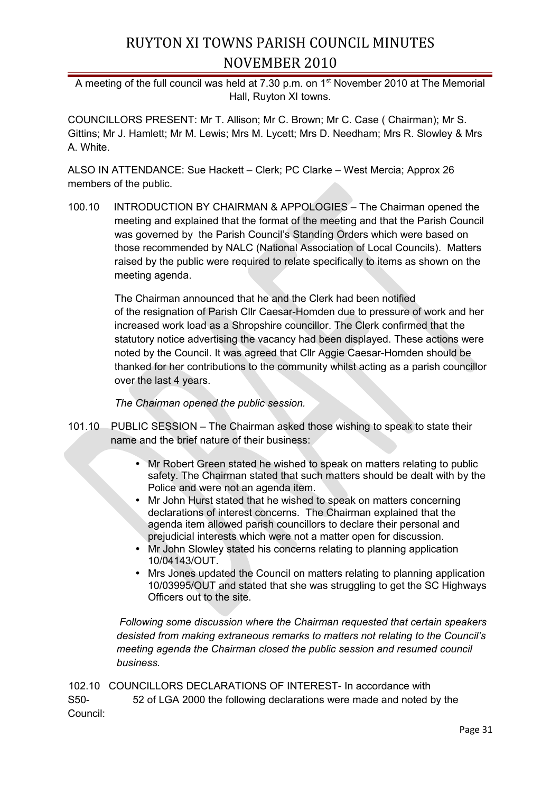## RUYTON XI TOWNS PARISH COUNCIL MINUTES NOVEMBER 2010

A meeting of the full council was held at  $7.30$  p.m. on  $1<sup>st</sup>$  November 2010 at The Memorial Hall, Ruyton XI towns.

COUNCILLORS PRESENT: Mr T. Allison; Mr C. Brown; Mr C. Case ( Chairman); Mr S. Gittins; Mr J. Hamlett; Mr M. Lewis; Mrs M. Lycett; Mrs D. Needham; Mrs R. Slowley & Mrs A. White.

ALSO IN ATTENDANCE: Sue Hackett – Clerk; PC Clarke – West Mercia; Approx 26 members of the public.

100.10 INTRODUCTION BY CHAIRMAN & APPOLOGIES – The Chairman opened the meeting and explained that the format of the meeting and that the Parish Council was governed by the Parish Council's Standing Orders which were based on those recommended by NALC (National Association of Local Councils). Matters raised by the public were required to relate specifically to items as shown on the meeting agenda.

> The Chairman announced that he and the Clerk had been notified of the resignation of Parish Cllr Caesar-Homden due to pressure of work and her increased work load as a Shropshire councillor. The Clerk confirmed that the statutory notice advertising the vacancy had been displayed. These actions were noted by the Council. It was agreed that Cllr Aggie Caesar-Homden should be thanked for her contributions to the community whilst acting as a parish councillor over the last 4 years.

*The Chairman opened the public session.*

- 101.10 PUBLIC SESSION The Chairman asked those wishing to speak to state their name and the brief nature of their business:
	- Mr Robert Green stated he wished to speak on matters relating to public safety. The Chairman stated that such matters should be dealt with by the Police and were not an agenda item.
	- Mr John Hurst stated that he wished to speak on matters concerning declarations of interest concerns. The Chairman explained that the agenda item allowed parish councillors to declare their personal and prejudicial interests which were not a matter open for discussion.
	- Mr John Slowley stated his concerns relating to planning application 10/04143/OUT.
	- Mrs Jones updated the Council on matters relating to planning application 10/03995/OUT and stated that she was struggling to get the SC Highways Officers out to the site.

 *Following some discussion where the Chairman requested that certain speakers desisted from making extraneous remarks to matters not relating to the Council's meeting agenda the Chairman closed the public session and resumed council business.*

102.10 COUNCILLORS DECLARATIONS OF INTEREST- In accordance with S50- 52 of LGA 2000 the following declarations were made and noted by the Council: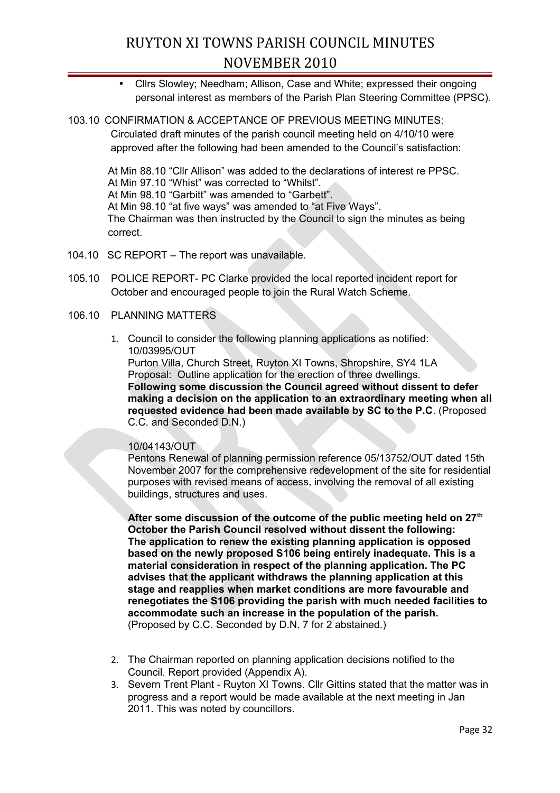# RUYTON XI TOWNS PARISH COUNCIL MINUTES NOVEMBER 2010

- Cllrs Slowley; Needham; Allison, Case and White; expressed their ongoing personal interest as members of the Parish Plan Steering Committee (PPSC).
- 103.10 CONFIRMATION & ACCEPTANCE OF PREVIOUS MEETING MINUTES: Circulated draft minutes of the parish council meeting held on 4/10/10 were approved after the following had been amended to the Council's satisfaction:

At Min 88.10 "Cllr Allison" was added to the declarations of interest re PPSC. At Min 97.10 "Whist" was corrected to "Whilst". At Min 98.10 "Garbitt" was amended to "Garbett". At Min 98.10 "at five ways" was amended to "at Five Ways". The Chairman was then instructed by the Council to sign the minutes as being correct.

- 104.10 SC REPORT The report was unavailable.
- 105.10 POLICE REPORT- PC Clarke provided the local reported incident report for October and encouraged people to join the Rural Watch Scheme.
- 106.10 PLANNING MATTERS
	- 1. Council to consider the following planning applications as notified: 10/03995/OUT

Purton Villa, Church Street, Ruyton XI Towns, Shropshire, SY4 1LA Proposal: Outline application for the erection of three dwellings. **Following some discussion the Council agreed without dissent to defer making a decision on the application to an extraordinary meeting when all requested evidence had been made available by SC to the P.C**. (Proposed C.C. and Seconded D.N.)

### 10/04143/OUT

Pentons Renewal of planning permission reference 05/13752/OUT dated 15th November 2007 for the comprehensive redevelopment of the site for residential purposes with revised means of access, involving the removal of all existing buildings, structures and uses.

**After some discussion of the outcome of the public meeting held on 27th October the Parish Council resolved without dissent the following: The application to renew the existing planning application is opposed based on the newly proposed S106 being entirely inadequate. This is a material consideration in respect of the planning application. The PC advises that the applicant withdraws the planning application at this stage and reapplies when market conditions are more favourable and renegotiates the S106 providing the parish with much needed facilities to accommodate such an increase in the population of the parish.** (Proposed by C.C. Seconded by D.N. 7 for 2 abstained.)

- 2. The Chairman reported on planning application decisions notified to the Council. Report provided (Appendix A).
- 3. Severn Trent Plant Ruyton XI Towns. Cllr Gittins stated that the matter was in progress and a report would be made available at the next meeting in Jan 2011. This was noted by councillors.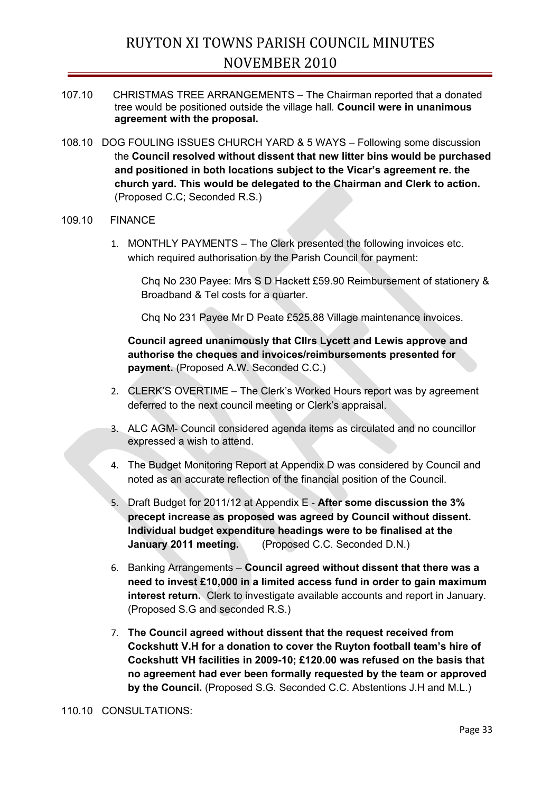- 107.10 CHRISTMAS TREE ARRANGEMENTS The Chairman reported that a donated tree would be positioned outside the village hall. **Council were in unanimous agreement with the proposal.**
- 108.10 DOG FOULING ISSUES CHURCH YARD & 5 WAYS Following some discussion the **Council resolved without dissent that new litter bins would be purchased and positioned in both locations subject to the Vicar's agreement re. the church yard. This would be delegated to the Chairman and Clerk to action.** (Proposed C.C; Seconded R.S.)

#### 109.10 FINANCE

1. MONTHLY PAYMENTS – The Clerk presented the following invoices etc. which required authorisation by the Parish Council for payment:

Chq No 230 Payee: Mrs S D Hackett £59.90 Reimbursement of stationery & Broadband & Tel costs for a quarter.

Chq No 231 Payee Mr D Peate £525.88 Village maintenance invoices.

**Council agreed unanimously that Cllrs Lycett and Lewis approve and authorise the cheques and invoices/reimbursements presented for payment.** (Proposed A.W. Seconded C.C.)

- 2. CLERK'S OVERTIME The Clerk's Worked Hours report was by agreement deferred to the next council meeting or Clerk's appraisal.
- 3. ALC AGM- Council considered agenda items as circulated and no councillor expressed a wish to attend.
- 4. The Budget Monitoring Report at Appendix D was considered by Council and noted as an accurate reflection of the financial position of the Council.
- 5. Draft Budget for 2011/12 at Appendix E **After some discussion the 3% precept increase as proposed was agreed by Council without dissent. Individual budget expenditure headings were to be finalised at the January 2011 meeting.** (Proposed C.C. Seconded D.N.)
- 6. Banking Arrangements **Council agreed without dissent that there was a need to invest £10,000 in a limited access fund in order to gain maximum interest return.** Clerk to investigate available accounts and report in January. (Proposed S.G and seconded R.S.)
- 7. **The Council agreed without dissent that the request received from Cockshutt V.H for a donation to cover the Ruyton football team's hire of Cockshutt VH facilities in 2009-10; £120.00 was refused on the basis that no agreement had ever been formally requested by the team or approved by the Council.** (Proposed S.G. Seconded C.C. Abstentions J.H and M.L.)